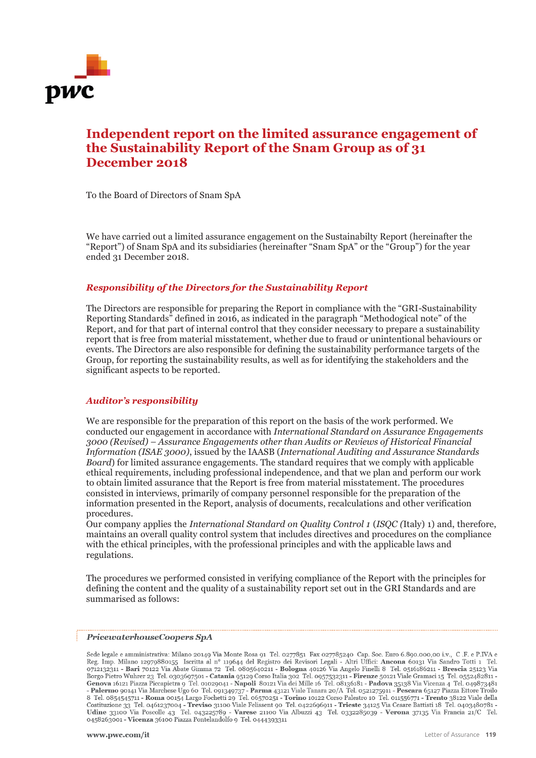

# **Independent report on the limited assurance engagement of the Sustainability Report of the Snam Group as of 31 December 2018**

To the Board of Directors of Snam SpA

We have carried out a limited assurance engagement on the Sustainabilty Report (hereinafter the "Report") of Snam SpA and its subsidiaries (hereinafter "Snam SpA" or the "Group") for the year ended 31 December 2018.

# *Responsibility of the Directors for the Sustainability Report*

The Directors are responsible for preparing the Report in compliance with the "GRI-Sustainability Reporting Standards" defined in 2016, as indicated in the paragraph "Methodogical note" of the Report, and for that part of internal control that they consider necessary to prepare a sustainability report that is free from material misstatement, whether due to fraud or unintentional behaviours or events. The Directors are also responsible for defining the sustainability performance targets of the Group, for reporting the sustainability results, as well as for identifying the stakeholders and the significant aspects to be reported.

### *Auditor's responsibility*

We are responsible for the preparation of this report on the basis of the work performed. We conducted our engagement in accordance with *International Standard on Assurance Engagements 3000 (Revised) – Assurance Engagements other than Audits or Reviews of Historical Financial Information (ISAE 3000)*, issued by the IAASB (*International Auditing and Assurance Standards Board*) for limited assurance engagements. The standard requires that we comply with applicable ethical requirements, including professional independence, and that we plan and perform our work to obtain limited assurance that the Report is free from material misstatement. The procedures consisted in interviews, primarily of company personnel responsible for the preparation of the information presented in the Report, analysis of documents, recalculations and other verification procedures.

Our company applies the *International Standard on Quality Control 1* (*ISQC (*Italy) 1) and, therefore, maintains an overall quality control system that includes directives and procedures on the compliance with the ethical principles, with the professional principles and with the applicable laws and regulations.

The procedures we performed consisted in verifying compliance of the Report with the principles for defining the content and the quality of a sustainability report set out in the GRI Standards and are summarised as follows:

#### PricewaterhouseCoopers SpA

Sede legale e amministrativa: Milano 20149 Via Monte Rosa 91 Tel. 0277851 Fax 027785240 Cap. Soc. Euro 6.890.000,00 i.v., C.F. e P.IVA e<br>Reg. Imp. Milano 12979880155 Iscritta al nº 119644 del Registro dei Revisori Legali -0712132311 - Bari 70122 Via Abate Gimma 72 Tel. 0805640211 - Bologna 40126 Via Angelo Finelli 8 Tel. 0516186211 - Brescia 25123 Via 0712132311 - Bart 70122 Via Abate Gimma 72 1el. 0805040211 - Bologna 40120 Via Angelo Finelli 8 1el. 0510180211 - Brescia 25123 Via<br>
Borgo Pietro Wuhrer 23 Tel. 0303697501 - Catania 95129 Corso Italia 302 Tel. 0957532311 -0458263001 - Vicenza 36100 Piazza Pontelandolfo 9 Tel. 0444393311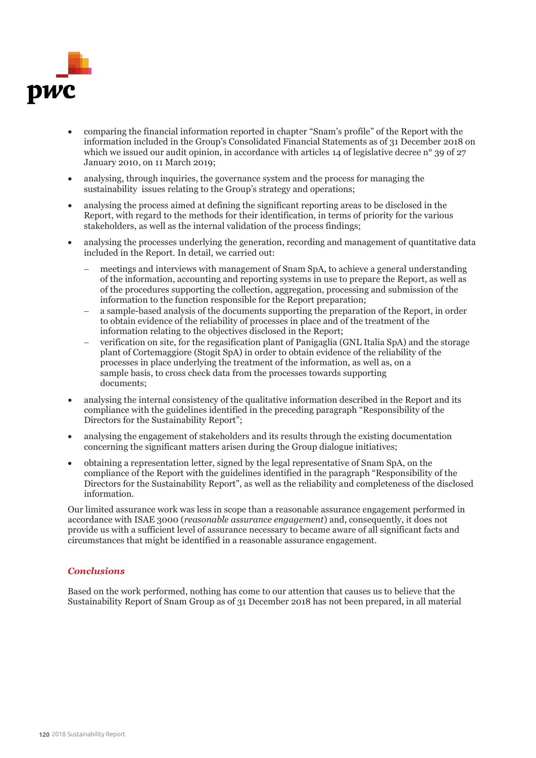

- comparing the financial information reported in chapter "Snam's profile" of the Report with the information included in the Group's Consolidated Financial Statements as of 31 December 2018 on which we issued our audit opinion, in accordance with articles 14 of legislative decree n° 39 of 27 January 2010, on 11 March 2019;
- analysing, through inquiries, the governance system and the process for managing the sustainability issues relating to the Group's strategy and operations;
- analysing the process aimed at defining the significant reporting areas to be disclosed in the Report, with regard to the methods for their identification, in terms of priority for the various stakeholders, as well as the internal validation of the process findings;
- analysing the processes underlying the generation, recording and management of quantitative data included in the Report. In detail, we carried out:
	- meetings and interviews with management of Snam SpA, to achieve a general understanding of the information, accounting and reporting systems in use to prepare the Report, as well as of the procedures supporting the collection, aggregation, processing and submission of the information to the function responsible for the Report preparation;
	- a sample-based analysis of the documents supporting the preparation of the Report, in order to obtain evidence of the reliability of processes in place and of the treatment of the information relating to the objectives disclosed in the Report;
	- verification on site, for the regasification plant of Panigaglia (GNL Italia SpA) and the storage plant of Cortemaggiore (Stogit SpA) in order to obtain evidence of the reliability of the processes in place underlying the treatment of the information, as well as, on a sample basis, to cross check data from the processes towards supporting documents;
- analysing the internal consistency of the qualitative information described in the Report and its compliance with the guidelines identified in the preceding paragraph "Responsibility of the Directors for the Sustainability Report";
- analysing the engagement of stakeholders and its results through the existing documentation concerning the significant matters arisen during the Group dialogue initiatives;
- obtaining a representation letter, signed by the legal representative of Snam SpA, on the compliance of the Report with the guidelines identified in the paragraph "Responsibility of the Directors for the Sustainability Report", as well as the reliability and completeness of the disclosed information.

Our limited assurance work was less in scope than a reasonable assurance engagement performed in accordance with ISAE 3000 (*reasonable assurance engagement*) and, consequently, it does not provide us with a sufficient level of assurance necessary to became aware of all significant facts and circumstances that might be identified in a reasonable assurance engagement.

# *Conclusions*

Based on the work performed, nothing has come to our attention that causes us to believe that the Sustainability Report of Snam Group as of 31 December 2018 has not been prepared, in all material